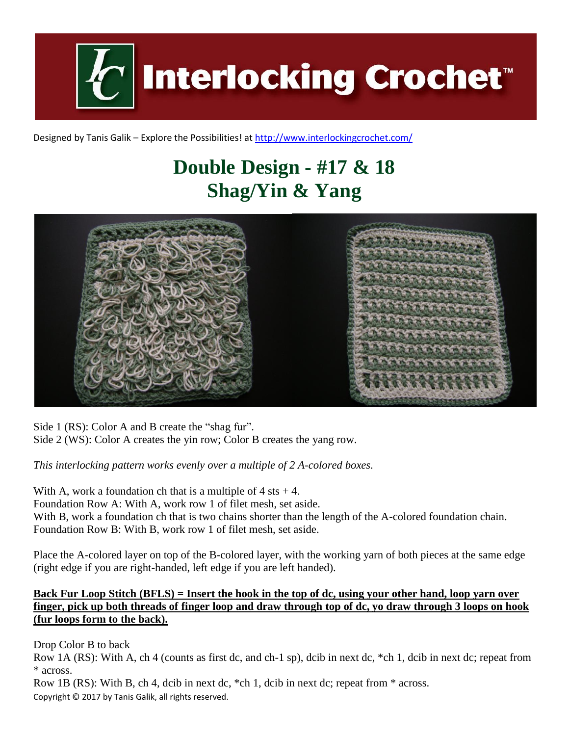**Interlocking Crochet** 

Designed by Tanis Galik – Explore the Possibilities! a[t http://www.interlockingcrochet.com/](http://www.interlockingcrochet.com/)

# **Double Design - #17 & 18 Shag/Yin & Yang**



Side 1 (RS): Color A and B create the "shag fur". Side 2 (WS): Color A creates the yin row; Color B creates the yang row.

*This interlocking pattern works evenly over a multiple of 2 A-colored boxes.*

With A, work a foundation ch that is a multiple of  $4$  sts  $+4$ . Foundation Row A: With A, work row 1 of filet mesh, set aside. With B, work a foundation ch that is two chains shorter than the length of the A-colored foundation chain. Foundation Row B: With B, work row 1 of filet mesh, set aside.

Place the A-colored layer on top of the B-colored layer, with the working yarn of both pieces at the same edge (right edge if you are right-handed, left edge if you are left handed).

### **Back Fur Loop Stitch (BFLS) = Insert the hook in the top of dc, using your other hand, loop yarn over finger, pick up both threads of finger loop and draw through top of dc, yo draw through 3 loops on hook (fur loops form to the back).**

Drop Color B to back

Row 1A (RS): With A, ch 4 (counts as first dc, and ch-1 sp), dcib in next dc, \*ch 1, dcib in next dc; repeat from \* across.

Copyright © 2017 by Tanis Galik, all rights reserved. Row 1B (RS): With B, ch 4, dcib in next dc, \*ch 1, dcib in next dc; repeat from \* across.